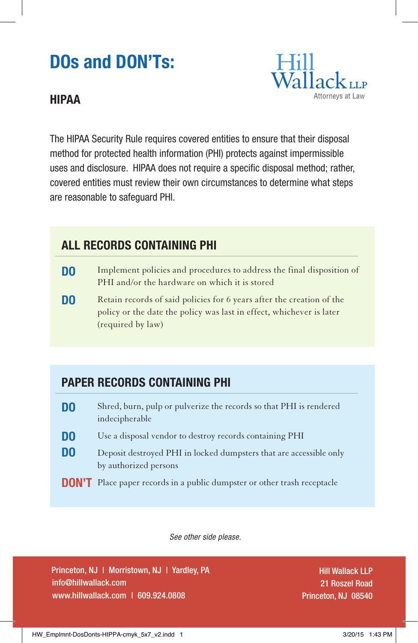# **DOs and DON'Ts:**

#### **HIPAA**



The HIPAA Security Rule requires covered entities to ensure that their disposal method for protected health information (PHI) protects against impermissible uses and disclosure. HIPAA does not require a specific disposal method; rather, covered entities must review their own circumstances to determine what steps are reasonable to safeguard PHI.

## **ALL RECORDS CONTAINING PHI**

- Implement policies and procedures to address the final disposition of PHI and/or the hardware on which it is stored **DO**
- Retain records of said policies for 6 years after the creation of the policy or the date the policy was last in effect, whichever is later (required by law) **DO**

## **PAPER RECORDS CONTAINING PHI**

- **DO**  Shred, burn, pulp or pulverize the records so that PHI is rendered indecipherable
- **DO** Use a disposal vendor to destroy records containing PHI
- **DO** Deposit destroyed PHI in locked dumpsters that are accessible only by authorized persons
- **DON'T** Place paper records in a public dumpster or other trash receptacle

 *See other side please.*

Princeton, NJ | Morristown, NJ | Yardley, PA info@hillwallack.com www.hillwallack.com | 609.924.0808

Hill Wallack LLP 21 Roszel Road Princeton, NJ 08540